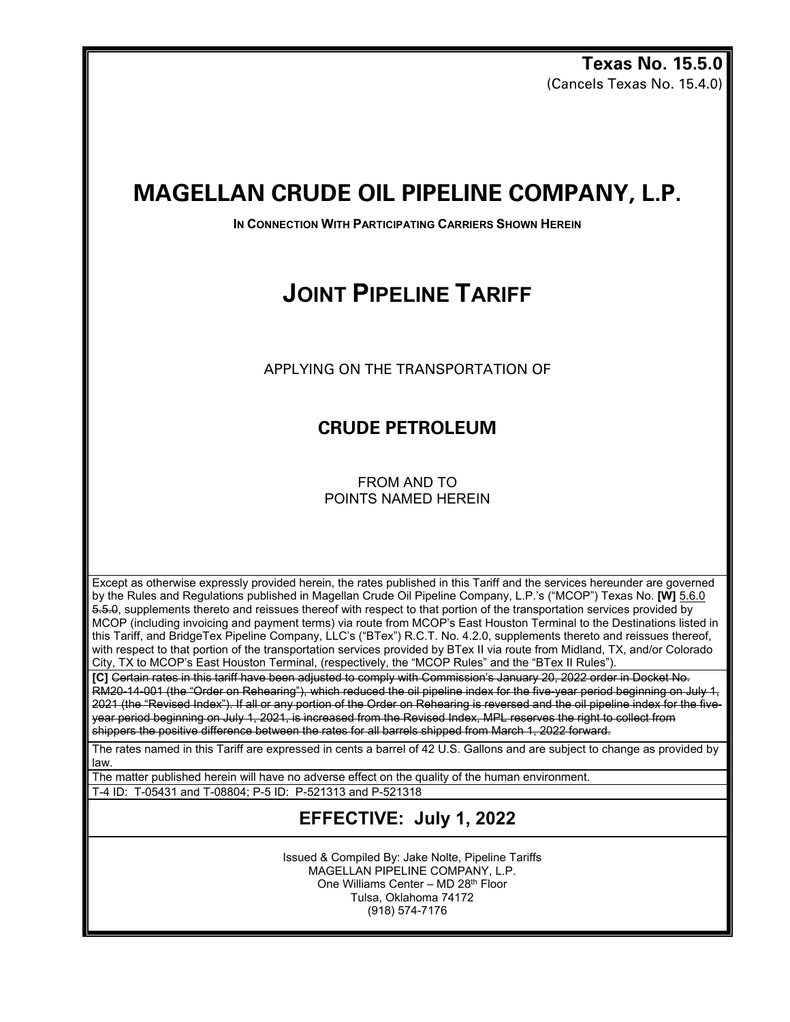**Texas No. 15.5.0** (Cancels Texas No. 15.4.0)

## **MAGELLAN CRUDE OIL PIPELINE COMPANY, L.P.**

**IN CONNECTION WITH PARTICIPATING CARRIERS SHOWN HEREIN** 

# **JOINT PIPELINE TARIFF**

APPLYING ON THE TRANSPORTATION OF

### **CRUDE PETROLEUM**

FROM AND TO POINTS NAMED HEREIN

Except as otherwise expressly provided herein, the rates published in this Tariff and the services hereunder are governed by the Rules and Regulations published in Magellan Crude Oil Pipeline Company, L.P.'s ("MCOP") Texas No. **[W]** 5.6.0 5.5.0, supplements thereto and reissues thereof with respect to that portion of the transportation services provided by MCOP (including invoicing and payment terms) via route from MCOP's East Houston Terminal to the Destinations listed in this Tariff, and BridgeTex Pipeline Company, LLC's ("BTex") R.C.T. No. 4.2.0, supplements thereto and reissues thereof, with respect to that portion of the transportation services provided by BTex II via route from Midland, TX, and/or Colorado City, TX to MCOP's East Houston Terminal, (respectively, the "MCOP Rules" and the "BTex II Rules").

**[C]** Certain rates in this tariff have been adjusted to comply with Commission's January 20, 2022 order in Docket No. RM20-14-001 (the "Order on Rehearing"), which reduced the oil pipeline index for the five-year period beginning on July 1, 2021 (the "Revised Index"). If all or any portion of the Order on Rehearing is reversed and the oil pipeline index for the fiveyear period beginning on July 1, 2021, is increased from the Revised Index, MPL reserves the right to collect from shippers the positive difference between the rates for all barrels shipped from March 1, 2022 forward.

The rates named in this Tariff are expressed in cents a barrel of 42 U.S. Gallons and are subject to change as provided by law.

The matter published herein will have no adverse effect on the quality of the human environment.

T-4 ID: T-05431 and T-08804; P-5 ID: P-521313 and P-521318

#### **EFFECTIVE: July 1, 2022**

Issued & Compiled By: Jake Nolte, Pipeline Tariffs MAGELLAN PIPELINE COMPANY, L.P. One Williams Center – MD 28th Floor Tulsa, Oklahoma 74172 (918) 574-7176